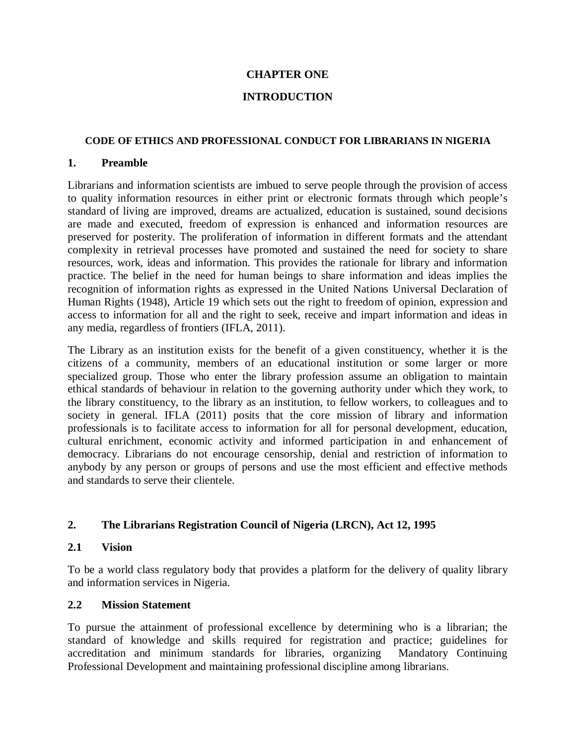#### **CHAPTER ONE**

### **INTRODUCTION**

#### **CODE OF ETHICS AND PROFESSIONAL CONDUCT FOR LIBRARIANS IN NIGERIA**

### **1. Preamble**

Librarians and information scientists are imbued to serve people through the provision of access to quality information resources in either print or electronic formats through which people's standard of living are improved, dreams are actualized, education is sustained, sound decisions are made and executed, freedom of expression is enhanced and information resources are preserved for posterity. The proliferation of information in different formats and the attendant complexity in retrieval processes have promoted and sustained the need for society to share resources, work, ideas and information. This provides the rationale for library and information practice. The belief in the need for human beings to share information and ideas implies the recognition of information rights as expressed in the United Nations Universal Declaration of Human Rights (1948), Article 19 which sets out the right to freedom of opinion, expression and access to information for all and the right to seek, receive and impart information and ideas in any media, regardless of frontiers (IFLA, 2011).

The Library as an institution exists for the benefit of a given constituency, whether it is the citizens of a community, members of an educational institution or some larger or more specialized group. Those who enter the library profession assume an obligation to maintain ethical standards of behaviour in relation to the governing authority under which they work, to the library constituency, to the library as an institution, to fellow workers, to colleagues and to society in general. IFLA (2011) posits that the core mission of library and information professionals is to facilitate access to information for all for personal development, education, cultural enrichment, economic activity and informed participation in and enhancement of democracy. Librarians do not encourage censorship, denial and restriction of information to anybody by any person or groups of persons and use the most efficient and effective methods and standards to serve their clientele.

# **2. The Librarians Registration Council of Nigeria (LRCN), Act 12, 1995**

### **2.1 Vision**

To be a world class regulatory body that provides a platform for the delivery of quality library and information services in Nigeria.

### **2.2 Mission Statement**

To pursue the attainment of professional excellence by determining who is a librarian; the standard of knowledge and skills required for registration and practice; guidelines for accreditation and minimum standards for libraries, organizing Mandatory Continuing Professional Development and maintaining professional discipline among librarians.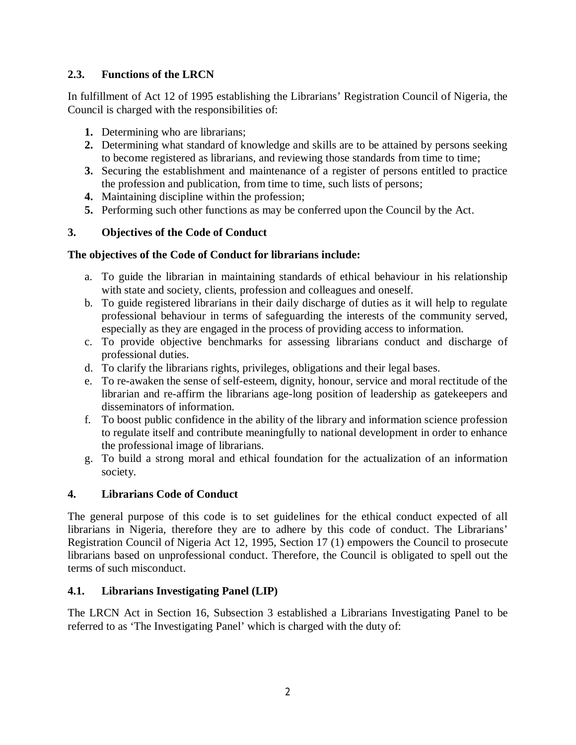# **2.3. Functions of the LRCN**

In fulfillment of Act 12 of 1995 establishing the Librarians' Registration Council of Nigeria, the Council is charged with the responsibilities of:

- **1.** Determining who are librarians;
- **2.** Determining what standard of knowledge and skills are to be attained by persons seeking to become registered as librarians, and reviewing those standards from time to time;
- **3.** Securing the establishment and maintenance of a register of persons entitled to practice the profession and publication, from time to time, such lists of persons;
- **4.** Maintaining discipline within the profession;
- **5.** Performing such other functions as may be conferred upon the Council by the Act.

# **3. Objectives of the Code of Conduct**

# **The objectives of the Code of Conduct for librarians include:**

- a. To guide the librarian in maintaining standards of ethical behaviour in his relationship with state and society, clients, profession and colleagues and oneself.
- b. To guide registered librarians in their daily discharge of duties as it will help to regulate professional behaviour in terms of safeguarding the interests of the community served, especially as they are engaged in the process of providing access to information.
- c. To provide objective benchmarks for assessing librarians conduct and discharge of professional duties.
- d. To clarify the librarians rights, privileges, obligations and their legal bases.
- e. To re-awaken the sense of self-esteem, dignity, honour, service and moral rectitude of the librarian and re-affirm the librarians age-long position of leadership as gatekeepers and disseminators of information.
- f. To boost public confidence in the ability of the library and information science profession to regulate itself and contribute meaningfully to national development in order to enhance the professional image of librarians.
- g. To build a strong moral and ethical foundation for the actualization of an information society.

# **4. Librarians Code of Conduct**

The general purpose of this code is to set guidelines for the ethical conduct expected of all librarians in Nigeria, therefore they are to adhere by this code of conduct. The Librarians' Registration Council of Nigeria Act 12, 1995, Section 17 (1) empowers the Council to prosecute librarians based on unprofessional conduct. Therefore, the Council is obligated to spell out the terms of such misconduct.

# **4.1. Librarians Investigating Panel (LIP)**

The LRCN Act in Section 16, Subsection 3 established a Librarians Investigating Panel to be referred to as 'The Investigating Panel' which is charged with the duty of: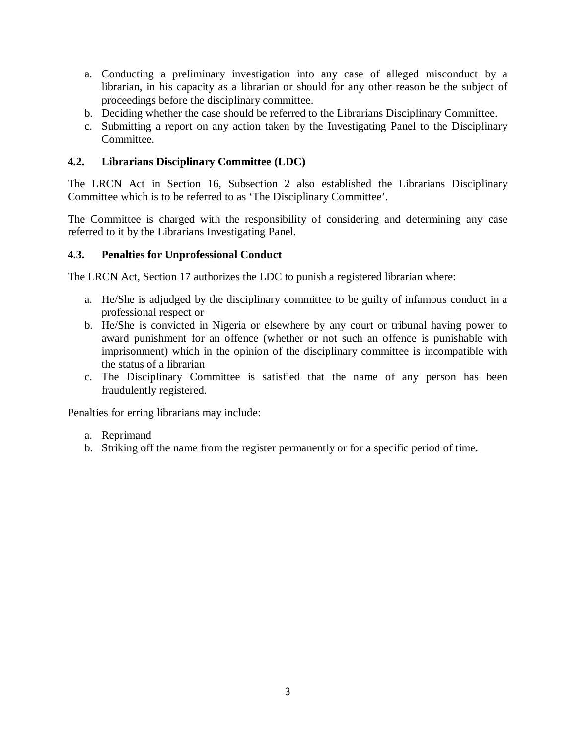- a. Conducting a preliminary investigation into any case of alleged misconduct by a librarian, in his capacity as a librarian or should for any other reason be the subject of proceedings before the disciplinary committee.
- b. Deciding whether the case should be referred to the Librarians Disciplinary Committee.
- c. Submitting a report on any action taken by the Investigating Panel to the Disciplinary Committee.

# **4.2. Librarians Disciplinary Committee (LDC)**

The LRCN Act in Section 16, Subsection 2 also established the Librarians Disciplinary Committee which is to be referred to as 'The Disciplinary Committee'.

The Committee is charged with the responsibility of considering and determining any case referred to it by the Librarians Investigating Panel.

### **4.3. Penalties for Unprofessional Conduct**

The LRCN Act, Section 17 authorizes the LDC to punish a registered librarian where:

- a. He/She is adjudged by the disciplinary committee to be guilty of infamous conduct in a professional respect or
- b. He/She is convicted in Nigeria or elsewhere by any court or tribunal having power to award punishment for an offence (whether or not such an offence is punishable with imprisonment) which in the opinion of the disciplinary committee is incompatible with the status of a librarian
- c. The Disciplinary Committee is satisfied that the name of any person has been fraudulently registered.

Penalties for erring librarians may include:

- a. Reprimand
- b. Striking off the name from the register permanently or for a specific period of time.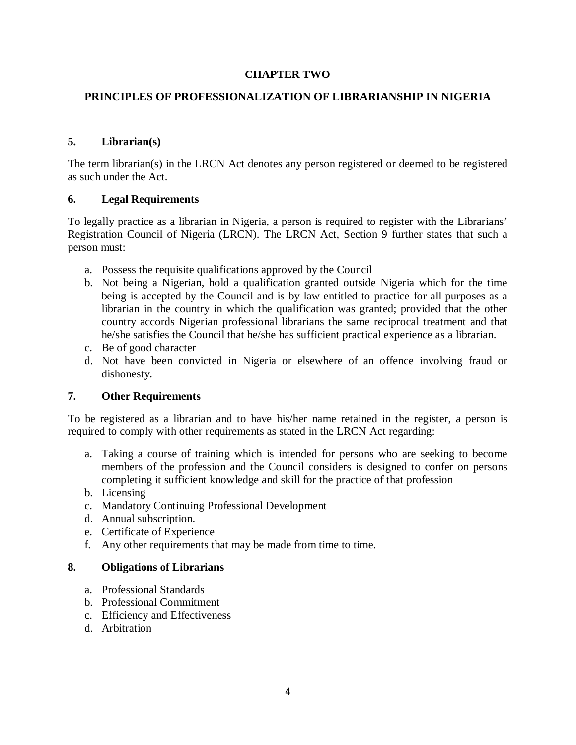### **CHAPTER TWO**

### **PRINCIPLES OF PROFESSIONALIZATION OF LIBRARIANSHIP IN NIGERIA**

### **5. Librarian(s)**

The term librarian(s) in the LRCN Act denotes any person registered or deemed to be registered as such under the Act.

### **6. Legal Requirements**

To legally practice as a librarian in Nigeria, a person is required to register with the Librarians' Registration Council of Nigeria (LRCN). The LRCN Act, Section 9 further states that such a person must:

- a. Possess the requisite qualifications approved by the Council
- b. Not being a Nigerian, hold a qualification granted outside Nigeria which for the time being is accepted by the Council and is by law entitled to practice for all purposes as a librarian in the country in which the qualification was granted; provided that the other country accords Nigerian professional librarians the same reciprocal treatment and that he/she satisfies the Council that he/she has sufficient practical experience as a librarian.
- c. Be of good character
- d. Not have been convicted in Nigeria or elsewhere of an offence involving fraud or dishonesty.

# **7. Other Requirements**

To be registered as a librarian and to have his/her name retained in the register, a person is required to comply with other requirements as stated in the LRCN Act regarding:

- a. Taking a course of training which is intended for persons who are seeking to become members of the profession and the Council considers is designed to confer on persons completing it sufficient knowledge and skill for the practice of that profession
- b. Licensing
- c. Mandatory Continuing Professional Development
- d. Annual subscription.
- e. Certificate of Experience
- f. Any other requirements that may be made from time to time.

### **8. Obligations of Librarians**

- a. Professional Standards
- b. Professional Commitment
- c. Efficiency and Effectiveness
- d. Arbitration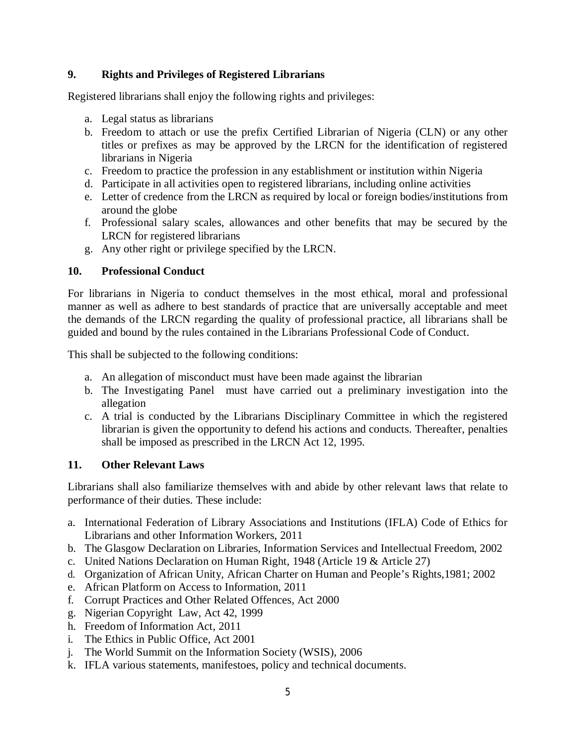# **9. Rights and Privileges of Registered Librarians**

Registered librarians shall enjoy the following rights and privileges:

- a. Legal status as librarians
- b. Freedom to attach or use the prefix Certified Librarian of Nigeria (CLN) or any other titles or prefixes as may be approved by the LRCN for the identification of registered librarians in Nigeria
- c. Freedom to practice the profession in any establishment or institution within Nigeria
- d. Participate in all activities open to registered librarians, including online activities
- e. Letter of credence from the LRCN as required by local or foreign bodies/institutions from around the globe
- f. Professional salary scales, allowances and other benefits that may be secured by the LRCN for registered librarians
- g. Any other right or privilege specified by the LRCN.

# **10. Professional Conduct**

For librarians in Nigeria to conduct themselves in the most ethical, moral and professional manner as well as adhere to best standards of practice that are universally acceptable and meet the demands of the LRCN regarding the quality of professional practice, all librarians shall be guided and bound by the rules contained in the Librarians Professional Code of Conduct.

This shall be subjected to the following conditions:

- a. An allegation of misconduct must have been made against the librarian
- b. The Investigating Panel must have carried out a preliminary investigation into the allegation
- c. A trial is conducted by the Librarians Disciplinary Committee in which the registered librarian is given the opportunity to defend his actions and conducts. Thereafter, penalties shall be imposed as prescribed in the LRCN Act 12, 1995.

# **11. Other Relevant Laws**

Librarians shall also familiarize themselves with and abide by other relevant laws that relate to performance of their duties. These include:

- a. International Federation of Library Associations and Institutions (IFLA) Code of Ethics for Librarians and other Information Workers, 2011
- b. The Glasgow Declaration on Libraries, Information Services and Intellectual Freedom, 2002
- c. United Nations Declaration on Human Right, 1948 (Article 19 & Article 27)
- d. Organization of African Unity, African Charter on Human and People's Rights,1981; 2002
- e. African Platform on Access to Information, 2011
- f. Corrupt Practices and Other Related Offences, Act 2000
- g. Nigerian Copyright Law, Act 42, 1999
- h. Freedom of Information Act, 2011
- i. The Ethics in Public Office, Act 2001
- j. The World Summit on the Information Society (WSIS), 2006
- k. IFLA various statements, manifestoes, policy and technical documents.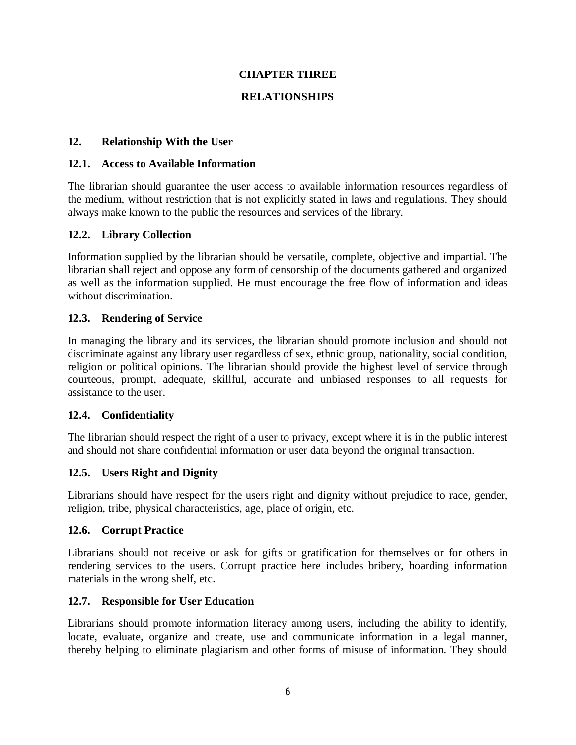### **CHAPTER THREE**

### **RELATIONSHIPS**

### **12. Relationship With the User**

### **12.1. Access to Available Information**

The librarian should guarantee the user access to available information resources regardless of the medium, without restriction that is not explicitly stated in laws and regulations. They should always make known to the public the resources and services of the library.

### **12.2. Library Collection**

Information supplied by the librarian should be versatile, complete, objective and impartial. The librarian shall reject and oppose any form of censorship of the documents gathered and organized as well as the information supplied. He must encourage the free flow of information and ideas without discrimination.

### **12.3. Rendering of Service**

In managing the library and its services, the librarian should promote inclusion and should not discriminate against any library user regardless of sex, ethnic group, nationality, social condition, religion or political opinions. The librarian should provide the highest level of service through courteous, prompt, adequate, skillful, accurate and unbiased responses to all requests for assistance to the user.

#### **12.4. Confidentiality**

The librarian should respect the right of a user to privacy, except where it is in the public interest and should not share confidential information or user data beyond the original transaction.

### **12.5. Users Right and Dignity**

Librarians should have respect for the users right and dignity without prejudice to race, gender, religion, tribe, physical characteristics, age, place of origin, etc.

#### **12.6. Corrupt Practice**

Librarians should not receive or ask for gifts or gratification for themselves or for others in rendering services to the users. Corrupt practice here includes bribery, hoarding information materials in the wrong shelf, etc.

#### **12.7. Responsible for User Education**

Librarians should promote information literacy among users, including the ability to identify, locate, evaluate, organize and create, use and communicate information in a legal manner, thereby helping to eliminate plagiarism and other forms of misuse of information. They should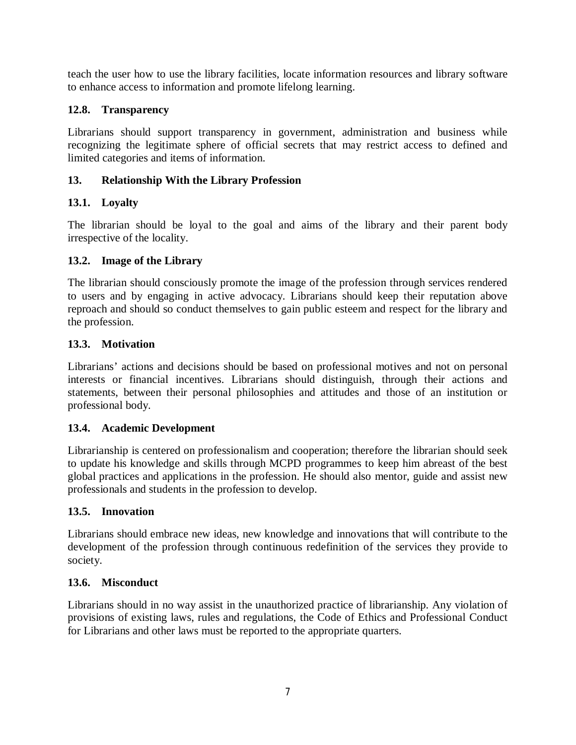teach the user how to use the library facilities, locate information resources and library software to enhance access to information and promote lifelong learning.

# **12.8. Transparency**

Librarians should support transparency in government, administration and business while recognizing the legitimate sphere of official secrets that may restrict access to defined and limited categories and items of information.

### **13. Relationship With the Library Profession**

### **13.1. Loyalty**

The librarian should be loyal to the goal and aims of the library and their parent body irrespective of the locality.

### **13.2. Image of the Library**

The librarian should consciously promote the image of the profession through services rendered to users and by engaging in active advocacy. Librarians should keep their reputation above reproach and should so conduct themselves to gain public esteem and respect for the library and the profession.

### **13.3. Motivation**

Librarians' actions and decisions should be based on professional motives and not on personal interests or financial incentives. Librarians should distinguish, through their actions and statements, between their personal philosophies and attitudes and those of an institution or professional body.

### **13.4. Academic Development**

Librarianship is centered on professionalism and cooperation; therefore the librarian should seek to update his knowledge and skills through MCPD programmes to keep him abreast of the best global practices and applications in the profession. He should also mentor, guide and assist new professionals and students in the profession to develop.

### **13.5. Innovation**

Librarians should embrace new ideas, new knowledge and innovations that will contribute to the development of the profession through continuous redefinition of the services they provide to society.

### **13.6. Misconduct**

Librarians should in no way assist in the unauthorized practice of librarianship. Any violation of provisions of existing laws, rules and regulations, the Code of Ethics and Professional Conduct for Librarians and other laws must be reported to the appropriate quarters.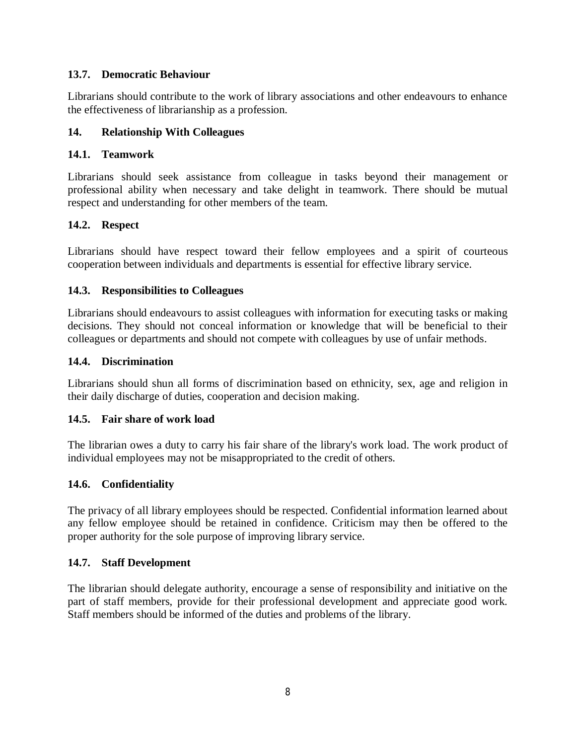### **13.7. Democratic Behaviour**

Librarians should contribute to the work of library associations and other endeavours to enhance the effectiveness of librarianship as a profession.

### **14. Relationship With Colleagues**

### **14.1. Teamwork**

Librarians should seek assistance from colleague in tasks beyond their management or professional ability when necessary and take delight in teamwork. There should be mutual respect and understanding for other members of the team.

### **14.2. Respect**

Librarians should have respect toward their fellow employees and a spirit of courteous cooperation between individuals and departments is essential for effective library service.

### **14.3. Responsibilities to Colleagues**

Librarians should endeavours to assist colleagues with information for executing tasks or making decisions. They should not conceal information or knowledge that will be beneficial to their colleagues or departments and should not compete with colleagues by use of unfair methods.

### **14.4. Discrimination**

Librarians should shun all forms of discrimination based on ethnicity, sex, age and religion in their daily discharge of duties, cooperation and decision making.

### **14.5. Fair share of work load**

The librarian owes a duty to carry his fair share of the library's work load. The work product of individual employees may not be misappropriated to the credit of others.

### **14.6. Confidentiality**

The privacy of all library employees should be respected. Confidential information learned about any fellow employee should be retained in confidence. Criticism may then be offered to the proper authority for the sole purpose of improving library service.

### **14.7. Staff Development**

The librarian should delegate authority, encourage a sense of responsibility and initiative on the part of staff members, provide for their professional development and appreciate good work. Staff members should be informed of the duties and problems of the library.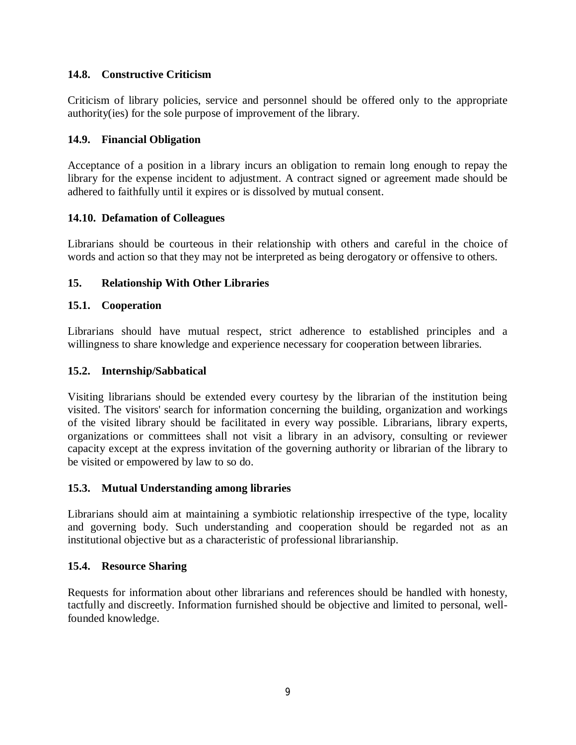# **14.8. Constructive Criticism**

Criticism of library policies, service and personnel should be offered only to the appropriate authority(ies) for the sole purpose of improvement of the library.

# **14.9. Financial Obligation**

Acceptance of a position in a library incurs an obligation to remain long enough to repay the library for the expense incident to adjustment. A contract signed or agreement made should be adhered to faithfully until it expires or is dissolved by mutual consent.

# **14.10. Defamation of Colleagues**

Librarians should be courteous in their relationship with others and careful in the choice of words and action so that they may not be interpreted as being derogatory or offensive to others.

# **15. Relationship With Other Libraries**

# **15.1. Cooperation**

Librarians should have mutual respect, strict adherence to established principles and a willingness to share knowledge and experience necessary for cooperation between libraries.

# **15.2. Internship/Sabbatical**

Visiting librarians should be extended every courtesy by the librarian of the institution being visited. The visitors' search for information concerning the building, organization and workings of the visited library should be facilitated in every way possible. Librarians, library experts, organizations or committees shall not visit a library in an advisory, consulting or reviewer capacity except at the express invitation of the governing authority or librarian of the library to be visited or empowered by law to so do.

# **15.3. Mutual Understanding among libraries**

Librarians should aim at maintaining a symbiotic relationship irrespective of the type, locality and governing body. Such understanding and cooperation should be regarded not as an institutional objective but as a characteristic of professional librarianship.

# **15.4. Resource Sharing**

Requests for information about other librarians and references should be handled with honesty, tactfully and discreetly. Information furnished should be objective and limited to personal, wellfounded knowledge.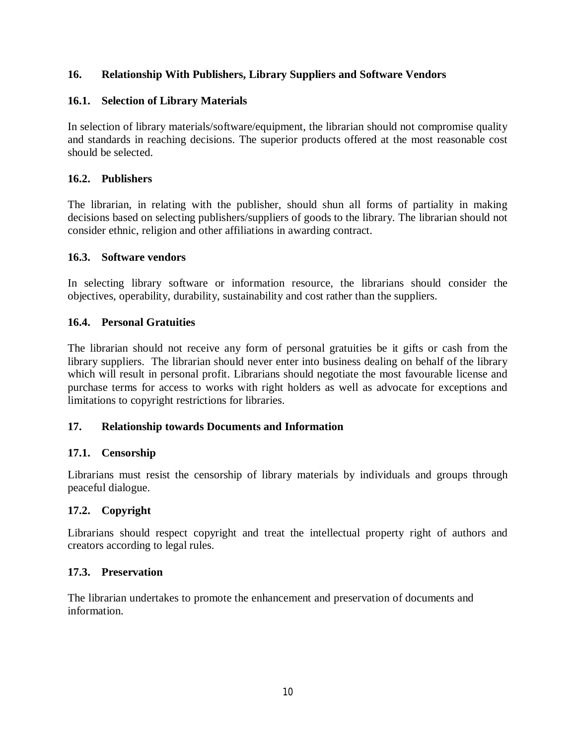# **16. Relationship With Publishers, Library Suppliers and Software Vendors**

# **16.1. Selection of Library Materials**

In selection of library materials/software/equipment, the librarian should not compromise quality and standards in reaching decisions. The superior products offered at the most reasonable cost should be selected.

# **16.2. Publishers**

The librarian, in relating with the publisher, should shun all forms of partiality in making decisions based on selecting publishers/suppliers of goods to the library. The librarian should not consider ethnic, religion and other affiliations in awarding contract.

# **16.3. Software vendors**

In selecting library software or information resource, the librarians should consider the objectives, operability, durability, sustainability and cost rather than the suppliers.

# **16.4. Personal Gratuities**

The librarian should not receive any form of personal gratuities be it gifts or cash from the library suppliers. The librarian should never enter into business dealing on behalf of the library which will result in personal profit. Librarians should negotiate the most favourable license and purchase terms for access to works with right holders as well as advocate for exceptions and limitations to copyright restrictions for libraries.

# **17. Relationship towards Documents and Information**

# **17.1. Censorship**

Librarians must resist the censorship of library materials by individuals and groups through peaceful dialogue.

# **17.2. Copyright**

Librarians should respect copyright and treat the intellectual property right of authors and creators according to legal rules.

# **17.3. Preservation**

The librarian undertakes to promote the enhancement and preservation of documents and information.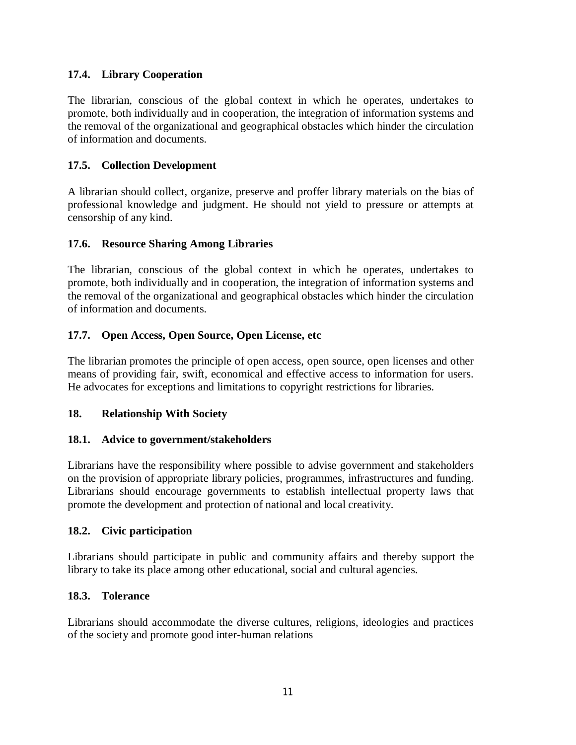# **17.4. Library Cooperation**

The librarian, conscious of the global context in which he operates, undertakes to promote, both individually and in cooperation, the integration of information systems and the removal of the organizational and geographical obstacles which hinder the circulation of information and documents.

### **17.5. Collection Development**

A librarian should collect, organize, preserve and proffer library materials on the bias of professional knowledge and judgment. He should not yield to pressure or attempts at censorship of any kind.

### **17.6. Resource Sharing Among Libraries**

The librarian, conscious of the global context in which he operates, undertakes to promote, both individually and in cooperation, the integration of information systems and the removal of the organizational and geographical obstacles which hinder the circulation of information and documents.

### **17.7. Open Access, Open Source, Open License, etc**

The librarian promotes the principle of open access, open source, open licenses and other means of providing fair, swift, economical and effective access to information for users. He advocates for exceptions and limitations to copyright restrictions for libraries.

### **18. Relationship With Society**

### **18.1. Advice to government/stakeholders**

Librarians have the responsibility where possible to advise government and stakeholders on the provision of appropriate library policies, programmes, infrastructures and funding. Librarians should encourage governments to establish intellectual property laws that promote the development and protection of national and local creativity.

### **18.2. Civic participation**

Librarians should participate in public and community affairs and thereby support the library to take its place among other educational, social and cultural agencies.

### **18.3. Tolerance**

Librarians should accommodate the diverse cultures, religions, ideologies and practices of the society and promote good inter-human relations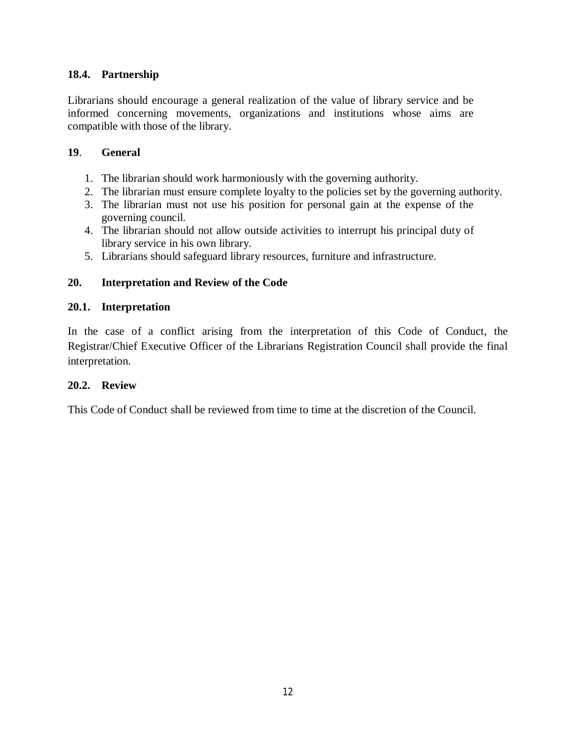# **18.4. Partnership**

Librarians should encourage a general realization of the value of library service and be informed concerning movements, organizations and institutions whose aims are compatible with those of the library.

### **19**. **General**

- 1. The librarian should work harmoniously with the governing authority.
- 2. The librarian must ensure complete loyalty to the policies set by the governing authority.
- 3. The librarian must not use his position for personal gain at the expense of the governing council.
- 4. The librarian should not allow outside activities to interrupt his principal duty of library service in his own library.
- 5. Librarians should safeguard library resources, furniture and infrastructure.

### **20. Interpretation and Review of the Code**

### **20.1. Interpretation**

In the case of a conflict arising from the interpretation of this Code of Conduct, the Registrar/Chief Executive Officer of the Librarians Registration Council shall provide the final interpretation.

### **20.2. Review**

This Code of Conduct shall be reviewed from time to time at the discretion of the Council.